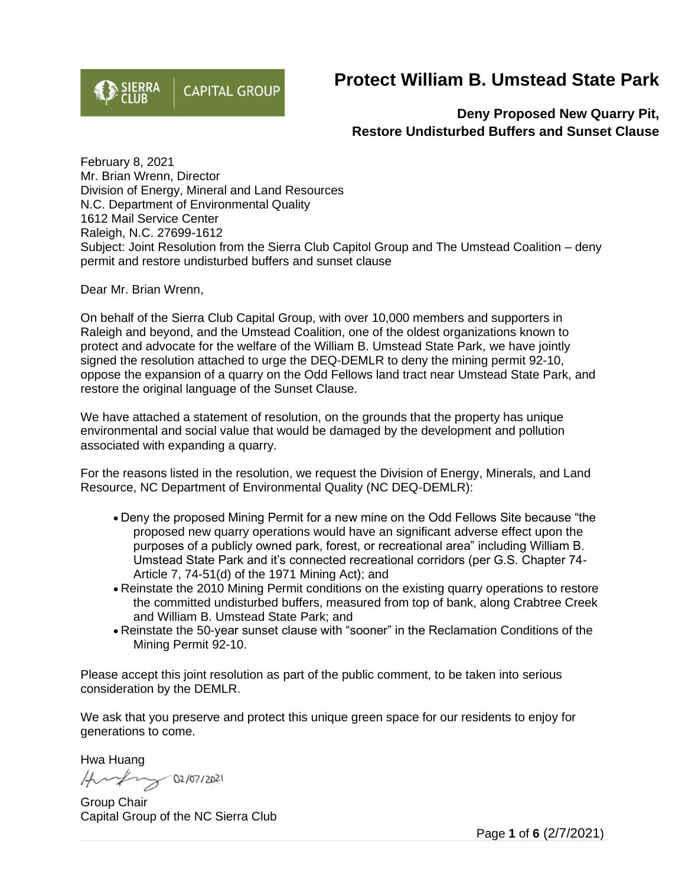

## **Protect William B. Umstead State Park**

**Deny Proposed New Quarry Pit, Restore Undisturbed Buffers and Sunset Clause**

February 8, 2021 Mr. Brian Wrenn, Director Division of Energy, Mineral and Land Resources N.C. Department of Environmental Quality 1612 Mail Service Center Raleigh, N.C. 27699-1612 Subject: Joint Resolution from the Sierra Club Capitol Group and The Umstead Coalition – deny permit and restore undisturbed buffers and sunset clause

Dear Mr. Brian Wrenn,

On behalf of the Sierra Club Capital Group, with over 10,000 members and supporters in Raleigh and beyond, and the Umstead Coalition, one of the oldest organizations known to protect and advocate for the welfare of the William B. Umstead State Park, we have jointly signed the resolution attached to urge the DEQ-DEMLR to deny the mining permit 92-10, oppose the expansion of a quarry on the Odd Fellows land tract near Umstead State Park, and restore the original language of the Sunset Clause.

We have attached a statement of resolution, on the grounds that the property has unique environmental and social value that would be damaged by the development and pollution associated with expanding a quarry.

For the reasons listed in the resolution, we request the Division of Energy, Minerals, and Land Resource, NC Department of Environmental Quality (NC DEQ-DEMLR):

- Deny the proposed Mining Permit for a new mine on the Odd Fellows Site because "the proposed new quarry operations would have an significant adverse effect upon the purposes of a publicly owned park, forest, or recreational area" including William B. Umstead State Park and it's connected recreational corridors (per G.S. Chapter 74- Article 7, 74-51(d) of the 1971 Mining Act); and
- Reinstate the 2010 Mining Permit conditions on the existing quarry operations to restore the committed undisturbed buffers, measured from top of bank, along Crabtree Creek and William B. Umstead State Park; and
- Reinstate the 50-year sunset clause with "sooner" in the Reclamation Conditions of the Mining Permit 92-10.

Please accept this joint resolution as part of the public comment, to be taken into serious consideration by the DEMLR.

We ask that you preserve and protect this unique green space for our residents to enjoy for generations to come.

Hwa Huang

Hundry 02/07/2021

Group Chair Capital Group of the NC Sierra Club

Page **1** of **6** (2/7/2021)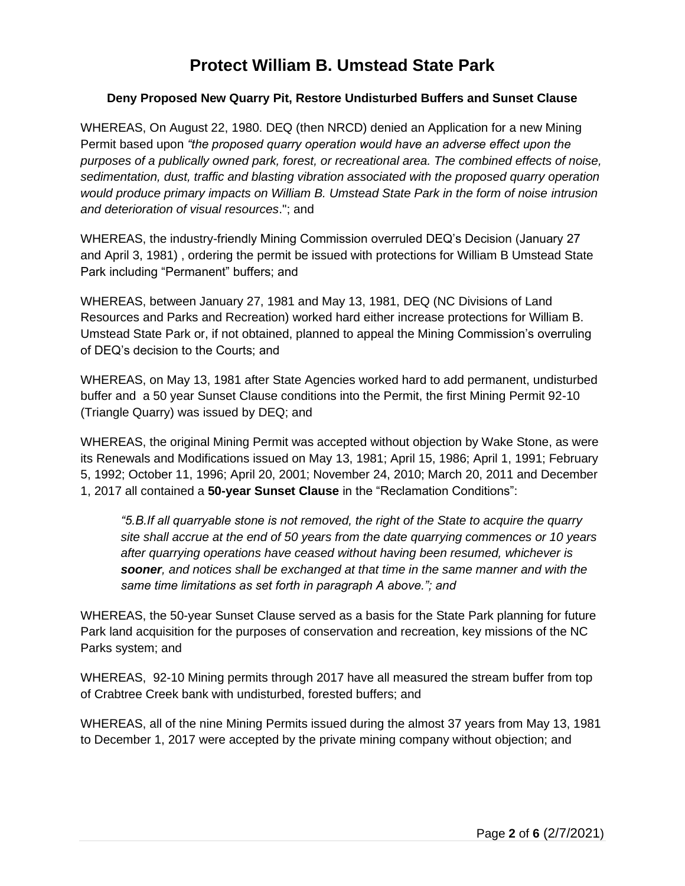## **Protect William B. Umstead State Park**

## **Deny Proposed New Quarry Pit, Restore Undisturbed Buffers and Sunset Clause**

WHEREAS, On August 22, 1980[.](https://umsteadcoalition.org/resources/Documents/Wake%20Stone/24-August%2022%201980,%20Denial%20of%20Wake%20Stone%20Corporation%20Permit%20Application.PDF) [DEQ \(then NRCD\) denied an Application for a new Mining](https://umsteadcoalition.org/resources/Documents/Wake%20Stone/24-August%2022%201980,%20Denial%20of%20Wake%20Stone%20Corporation%20Permit%20Application.PDF)  [Permit](https://umsteadcoalition.org/resources/Documents/Wake%20Stone/24-August%2022%201980,%20Denial%20of%20Wake%20Stone%20Corporation%20Permit%20Application.PDF) based upon *"the proposed quarry operation would have an adverse effect upon the purposes of a publically owned park, forest, or recreational area. The combined effects of noise, sedimentation, dust, traffic and blasting vibration associated with the proposed quarry operation would produce primary impacts on William B. Umstead State Park in the form of noise intrusion and deterioration of visual resources*."; and

WHEREAS, the industry-friendly Mining Commission overruled DEQ's Decision (January 27 and April 3, 1981) , ordering the permit be issued with protections for William B Umstead State Park including "Permanent" buffers; and

WHEREAS, between January 27, 1981 and May 13, 1981, DEQ (NC Divisions of Land Resources and Parks and Recreation) worked hard either increase protections for William B. Umstead State Park or, if not obtained, planned to appeal the Mining Commission's overruling of DEQ's decision to the Courts; and

WHEREAS, on May 13, 1981 after State Agencies worked hard to add permanent, undisturbed buffer and a 50 year Sunset Clause conditions into the Permit, the first Mining Permit 92-10 (Triangle Quarry) was issued by DEQ; and

WHEREAS, the original Mining Permit was accepted without objection by Wake Stone, as were its Renewals and Modifications issued on May 13, 1981; April 15, 1986; April 1, 1991; February 5, 1992; October 11, 1996; April 20, 2001; November 24, 2010; March 20, 2011 and December 1, 2017 all contained a **50-year Sunset Clause** in the "Reclamation Conditions":

*"5.B.If all quarryable stone is not removed, the right of the State to acquire the quarry site shall accrue at the end of 50 years from the date quarrying commences or 10 years after quarrying operations have ceased without having been resumed, whichever is sooner, and notices shall be exchanged at that time in the same manner and with the same time limitations as set forth in paragraph A above."; and*

WHEREAS, the 50-year Sunset Clause served as a basis for the State Park planning for future Park land acquisition for the purposes of conservation and recreation, key missions of the NC Parks system; and

WHEREAS, 92-10 Mining permits through 2017 have all measured the stream buffer from top of Crabtree Creek bank with undisturbed, forested buffers; and

WHEREAS, all of the nine Mining Permits issued during the almost 37 years from May 13, 1981 to December 1, 2017 were accepted by the private mining company without objection; and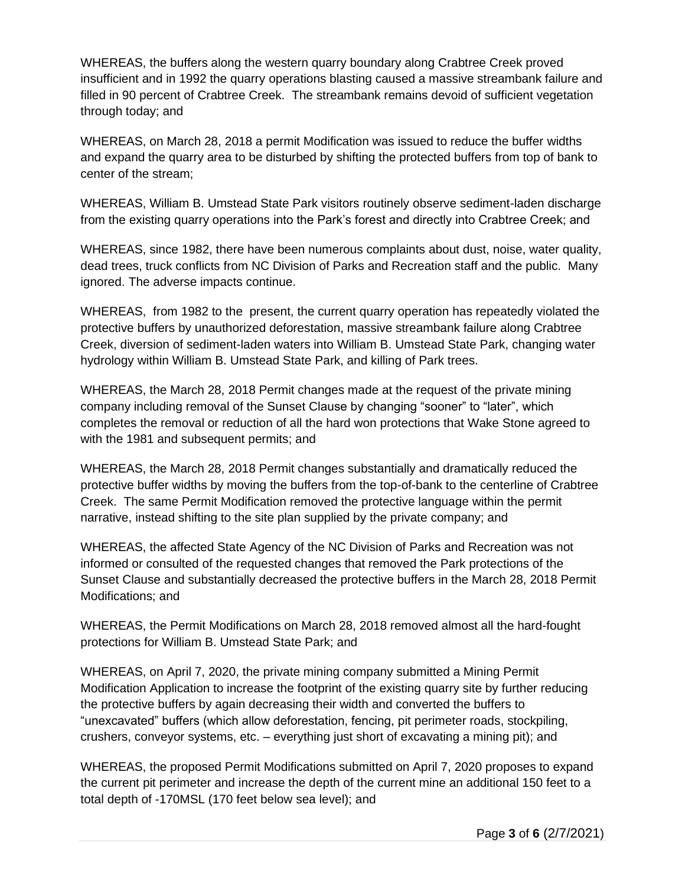WHEREAS, the buffers along the western quarry boundary along Crabtree Creek proved insufficient and in 1992 the quarry operations blasting caused a massive streambank failure and filled in 90 percent of Crabtree Creek. The streambank remains devoid of sufficient vegetation through today; and

WHEREAS, on March 28, 2018 a permit Modification was issued to reduce the buffer widths and expand the quarry area to be disturbed by shifting the protected buffers from top of bank to center of the stream;

WHEREAS, William B. Umstead State Park visitors routinely observe sediment-laden discharge from the existing quarry operations into the Park's forest and directly into Crabtree Creek; and

WHEREAS, since 1982, there have been numerous complaints about dust, noise, water quality, dead trees, truck conflicts from NC Division of Parks and Recreation staff and the public. Many ignored. The adverse impacts continue.

WHEREAS, from 1982 to the present, the current quarry operation has repeatedly violated the protective buffers by unauthorized deforestation, massive streambank failure along Crabtree Creek, diversion of sediment-laden waters into William B. Umstead State Park, changing water hydrology within William B. Umstead State Park, and killing of Park trees.

WHEREAS, the March 28, 2018 Permit changes made at the request of the private mining company including removal of the Sunset Clause by changing "sooner" to "later", which completes the removal or reduction of all the hard won protections that Wake Stone agreed to with the 1981 and subsequent permits; and

WHEREAS, the March 28, 2018 Permit changes substantially and dramatically reduced the protective buffer widths by moving the buffers from the top-of-bank to the centerline of Crabtree Creek. The same Permit Modification removed the protective language within the permit narrative, instead shifting to the site plan supplied by the private company; and

WHEREAS, the affected State Agency of the NC Division of Parks and Recreation was not informed or consulted of the requested changes that removed the Park protections of the Sunset Clause and substantially decreased the protective buffers in the March 28, 2018 Permit Modifications; and

WHEREAS, the Permit Modifications on March 28, 2018 removed almost all the hard-fought protections for William B. Umstead State Park; and

WHEREAS, on April 7, 2020, the private mining company submitted a Mining Permit Modification Application to increase the footprint of the existing quarry site by further reducing the protective buffers by again decreasing their width and converted the buffers to "unexcavated" buffers (which allow deforestation, fencing, pit perimeter roads, stockpiling, crushers, conveyor systems, etc. – everything just short of excavating a mining pit); and

WHEREAS, the proposed Permit Modifications submitted on April 7, 2020 proposes to expand the current pit perimeter and increase the depth of the current mine an additional 150 feet to a total depth of -170MSL (170 feet below sea level); and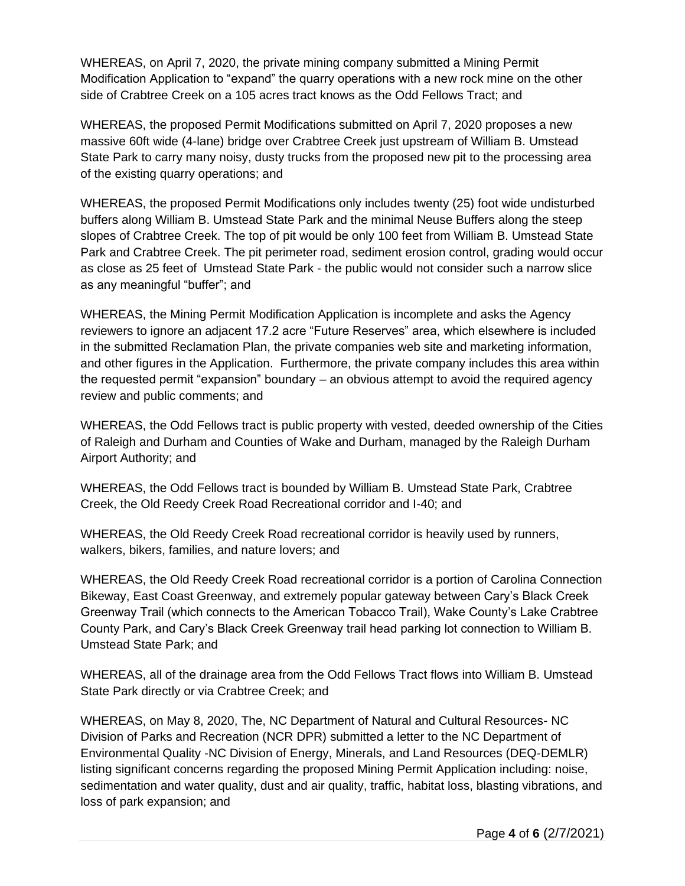WHEREAS, on April 7, 2020, the private mining company submitted a Mining Permit Modification Application to "expand" the quarry operations with a new rock mine on the other side of Crabtree Creek on a 105 acres tract knows as the Odd Fellows Tract; and

WHEREAS, the proposed Permit Modifications submitted on April 7, 2020 proposes a new massive 60ft wide (4-lane) bridge over Crabtree Creek just upstream of William B. Umstead State Park to carry many noisy, dusty trucks from the proposed new pit to the processing area of the existing quarry operations; and

WHEREAS, the proposed Permit Modifications only includes twenty (25) foot wide undisturbed buffers along William B. Umstead State Park and the minimal Neuse Buffers along the steep slopes of Crabtree Creek. The top of pit would be only 100 feet from William B. Umstead State Park and Crabtree Creek. The pit perimeter road, sediment erosion control, grading would occur as close as 25 feet of Umstead State Park - the public would not consider such a narrow slice as any meaningful "buffer"; and

WHEREAS, the Mining Permit Modification Application is incomplete and asks the Agency reviewers to ignore an adjacent 17.2 acre "Future Reserves" area, which elsewhere is included in the submitted Reclamation Plan, the private companies web site and marketing information, and other figures in the Application. Furthermore, the private company includes this area within the requested permit "expansion" boundary – an obvious attempt to avoid the required agency review and public comments; and

WHEREAS, the Odd Fellows tract is public property with vested, deeded ownership of the Cities of Raleigh and Durham and Counties of Wake and Durham, managed by the Raleigh Durham Airport Authority; and

WHEREAS, the Odd Fellows tract is bounded by William B. Umstead State Park, Crabtree Creek, the Old Reedy Creek Road Recreational corridor and I-40; and

WHEREAS, the Old Reedy Creek Road recreational corridor is heavily used by runners, walkers, bikers, families, and nature lovers; and

WHEREAS, the Old Reedy Creek Road recreational corridor is a portion of Carolina Connection Bikeway, East Coast Greenway, and extremely popular gateway between Cary's Black Creek Greenway Trail (which connects to the American Tobacco Trail), Wake County's Lake Crabtree County Park, and Cary's Black Creek Greenway trail head parking lot connection to William B. Umstead State Park; and

WHEREAS, all of the drainage area from the Odd Fellows Tract flows into William B. Umstead State Park directly or via Crabtree Creek; and

WHEREAS, on May 8, 2020, The, NC Department of Natural and Cultural Resources- NC Division of Parks and Recreation (NCR DPR) submitted a letter to the NC Department of Environmental Quality -NC Division of Energy, Minerals, and Land Resources (DEQ-DEMLR) listing significant concerns regarding the proposed Mining Permit Application including: noise, sedimentation and water quality, dust and air quality, traffic, habitat loss, blasting vibrations, and loss of park expansion; and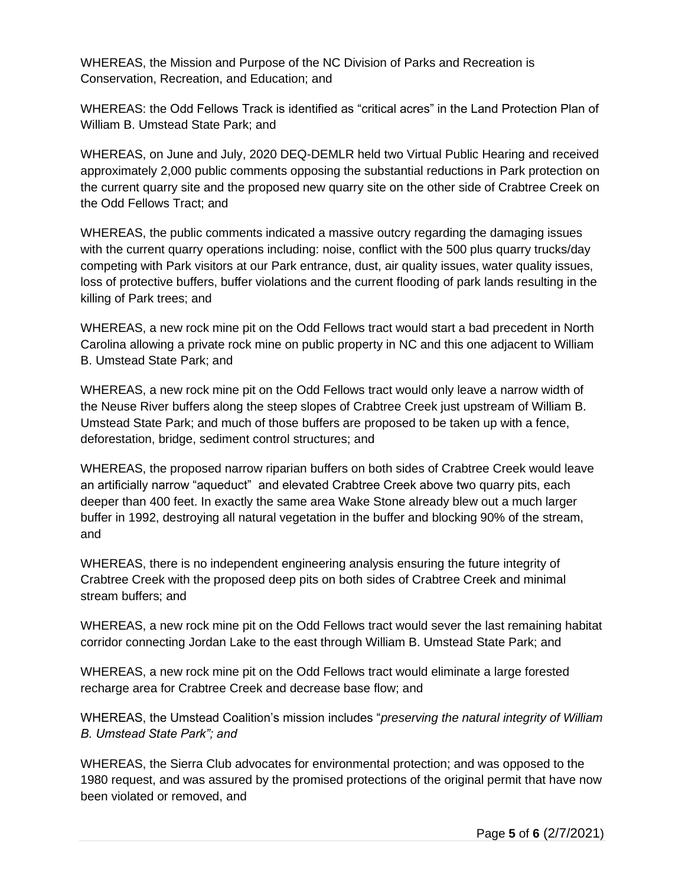WHEREAS, the Mission and Purpose of the NC Division of Parks and Recreation is Conservation, Recreation, and Education; and

WHEREAS: the Odd Fellows Track is identified as "critical acres" in the Land Protection Plan of William B. Umstead State Park; and

WHEREAS, on June and July, 2020 DEQ-DEMLR held two Virtual Public Hearing and received approximately 2,000 public comments opposing the substantial reductions in Park protection on the current quarry site and the proposed new quarry site on the other side of Crabtree Creek on the Odd Fellows Tract; and

WHEREAS, the public comments indicated a massive outcry regarding the damaging issues with the current quarry operations including: noise, conflict with the 500 plus quarry trucks/day competing with Park visitors at our Park entrance, dust, air quality issues, water quality issues, loss of protective buffers, buffer violations and the current flooding of park lands resulting in the killing of Park trees; and

WHEREAS, a new rock mine pit on the Odd Fellows tract would start a bad precedent in North Carolina allowing a private rock mine on public property in NC and this one adjacent to William B. Umstead State Park; and

WHEREAS, a new rock mine pit on the Odd Fellows tract would only leave a narrow width of the Neuse River buffers along the steep slopes of Crabtree Creek just upstream of William B. Umstead State Park; and much of those buffers are proposed to be taken up with a fence, deforestation, bridge, sediment control structures; and

WHEREAS, the proposed narrow riparian buffers on both sides of Crabtree Creek would leave an artificially narrow "aqueduct" and elevated Crabtree Creek above two quarry pits, each deeper than 400 feet. In exactly the same area Wake Stone already blew out a much larger buffer in 1992, destroying all natural vegetation in the buffer and blocking 90% of the stream, and

WHEREAS, there is no independent engineering analysis ensuring the future integrity of Crabtree Creek with the proposed deep pits on both sides of Crabtree Creek and minimal stream buffers; and

WHEREAS, a new rock mine pit on the Odd Fellows tract would sever the last remaining habitat corridor connecting Jordan Lake to the east through William B. Umstead State Park; and

WHEREAS, a new rock mine pit on the Odd Fellows tract would eliminate a large forested recharge area for Crabtree Creek and decrease base flow; and

WHEREAS, the Umstead Coalition's mission includes "*preserving the natural integrity of William B. Umstead State Park"; and*

WHEREAS, the Sierra Club advocates for environmental protection; and was opposed to the 1980 request, and was assured by the promised protections of the original permit that have now been violated or removed, and